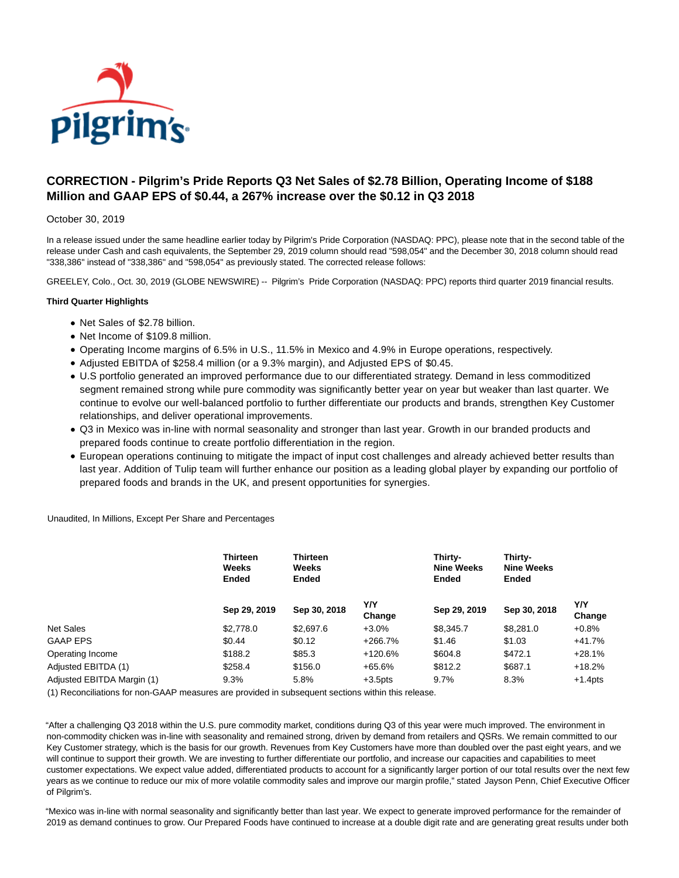

# **CORRECTION - Pilgrim's Pride Reports Q3 Net Sales of \$2.78 Billion, Operating Income of \$188 Million and GAAP EPS of \$0.44, a 267% increase over the \$0.12 in Q3 2018**

### October 30, 2019

In a release issued under the same headline earlier today by Pilgrim's Pride Corporation (NASDAQ: PPC), please note that in the second table of the release under Cash and cash equivalents, the September 29, 2019 column should read "598,054" and the December 30, 2018 column should read "338,386" instead of "338,386" and "598,054" as previously stated. The corrected release follows:

GREELEY, Colo., Oct. 30, 2019 (GLOBE NEWSWIRE) -- Pilgrim's Pride Corporation (NASDAQ: PPC) reports third quarter 2019 financial results.

#### **Third Quarter Highlights**

- Net Sales of \$2.78 billion.
- Net Income of \$109.8 million.
- Operating Income margins of 6.5% in U.S., 11.5% in Mexico and 4.9% in Europe operations, respectively.
- Adjusted EBITDA of \$258.4 million (or a 9.3% margin), and Adjusted EPS of \$0.45.
- U.S portfolio generated an improved performance due to our differentiated strategy. Demand in less commoditized segment remained strong while pure commodity was significantly better year on year but weaker than last quarter. We continue to evolve our well-balanced portfolio to further differentiate our products and brands, strengthen Key Customer relationships, and deliver operational improvements.
- Q3 in Mexico was in-line with normal seasonality and stronger than last year. Growth in our branded products and prepared foods continue to create portfolio differentiation in the region.
- European operations continuing to mitigate the impact of input cost challenges and already achieved better results than last year. Addition of Tulip team will further enhance our position as a leading global player by expanding our portfolio of prepared foods and brands in the UK, and present opportunities for synergies.

Unaudited, In Millions, Except Per Share and Percentages

|                            | Thirteen<br><b>Weeks</b><br>Ended | <b>Thirteen</b><br>Weeks<br>Ended |               | Thirty-<br><b>Nine Weeks</b><br><b>Ended</b> | Thirty-<br><b>Nine Weeks</b><br>Ended |               |
|----------------------------|-----------------------------------|-----------------------------------|---------------|----------------------------------------------|---------------------------------------|---------------|
|                            | Sep 29, 2019                      | Sep 30, 2018                      | Y/Y<br>Change | Sep 29, 2019                                 | Sep 30, 2018                          | Y/Y<br>Change |
| <b>Net Sales</b>           | \$2,778.0                         | \$2,697.6                         | $+3.0%$       | \$8,345.7                                    | \$8.281.0                             | $+0.8%$       |
| <b>GAAP EPS</b>            | \$0.44                            | \$0.12                            | $+266.7%$     | \$1.46                                       | \$1.03                                | $+41.7%$      |
| Operating Income           | \$188.2                           | \$85.3                            | $+120.6%$     | \$604.8                                      | \$472.1                               | $+28.1%$      |
| Adjusted EBITDA (1)        | \$258.4                           | \$156.0                           | $+65.6%$      | \$812.2                                      | \$687.1                               | $+18.2%$      |
| Adjusted EBITDA Margin (1) | 9.3%                              | 5.8%                              | $+3.5$ pts    | 9.7%                                         | 8.3%                                  | $+1.4$ pts    |

(1) Reconciliations for non-GAAP measures are provided in subsequent sections within this release.

"After a challenging Q3 2018 within the U.S. pure commodity market, conditions during Q3 of this year were much improved. The environment in non-commodity chicken was in-line with seasonality and remained strong, driven by demand from retailers and QSRs. We remain committed to our Key Customer strategy, which is the basis for our growth. Revenues from Key Customers have more than doubled over the past eight years, and we will continue to support their growth. We are investing to further differentiate our portfolio, and increase our capacities and capabilities to meet customer expectations. We expect value added, differentiated products to account for a significantly larger portion of our total results over the next few years as we continue to reduce our mix of more volatile commodity sales and improve our margin profile," stated Jayson Penn, Chief Executive Officer of Pilgrim's.

"Mexico was in-line with normal seasonality and significantly better than last year. We expect to generate improved performance for the remainder of 2019 as demand continues to grow. Our Prepared Foods have continued to increase at a double digit rate and are generating great results under both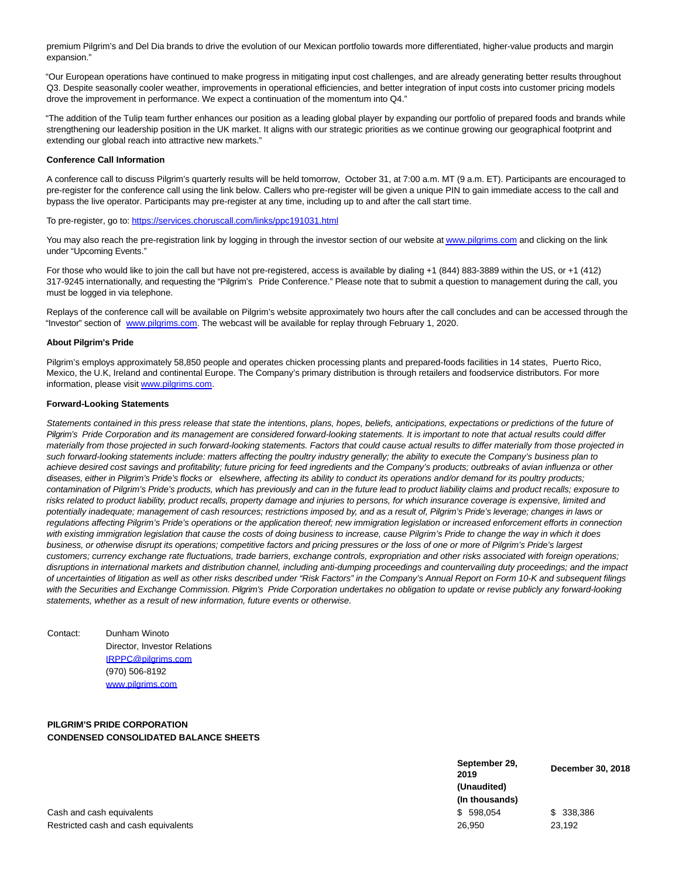premium Pilgrim's and Del Dia brands to drive the evolution of our Mexican portfolio towards more differentiated, higher-value products and margin expansion."

"Our European operations have continued to make progress in mitigating input cost challenges, and are already generating better results throughout Q3. Despite seasonally cooler weather, improvements in operational efficiencies, and better integration of input costs into customer pricing models drove the improvement in performance. We expect a continuation of the momentum into Q4."

"The addition of the Tulip team further enhances our position as a leading global player by expanding our portfolio of prepared foods and brands while strengthening our leadership position in the UK market. It aligns with our strategic priorities as we continue growing our geographical footprint and extending our global reach into attractive new markets."

#### **Conference Call Information**

A conference call to discuss Pilgrim's quarterly results will be held tomorrow, October 31, at 7:00 a.m. MT (9 a.m. ET). Participants are encouraged to pre-register for the conference call using the link below. Callers who pre-register will be given a unique PIN to gain immediate access to the call and bypass the live operator. Participants may pre-register at any time, including up to and after the call start time.

To pre-register, go to: [https://services.choruscall.com/links/ppc191031.html](https://www.globenewswire.com/Tracker?data=3nvhogENtS4B1aoCF_H70HU7m6dsIRU4Absa0fEew6x7hA1d8p4Cng87McJAnHSpLkqBYehFI7v-khTycq7sPcSwwE4cU3ItPrX3hiR5lVYxRY5vmOATtJPsowQZ5l-JNMof4bRfS2AALcUsiNZNlfvHLj9sxQjaZK4-n59-XHM=)

You may also reach the pre-registration link by logging in through the investor section of our website a[t www.pilgrims.com a](https://www.globenewswire.com/Tracker?data=57nYUo5DeLydE_udogtomcdJEwKGYSWhWAVskvLFRvBKX23SgEDVpU991eN1nQpXHv-cJ6lHdSX9A9HrbehMxA==)nd clicking on the link under "Upcoming Events."

For those who would like to join the call but have not pre-registered, access is available by dialing +1 (844) 883-3889 within the US, or +1 (412) 317-9245 internationally, and requesting the "Pilgrim's Pride Conference." Please note that to submit a question to management during the call, you must be logged in via telephone.

Replays of the conference call will be available on Pilgrim's website approximately two hours after the call concludes and can be accessed through the "Investor" section of [www.pilgrims.com.](https://www.globenewswire.com/Tracker?data=57nYUo5DeLydE_udogtomXnBlBnP5gemLU3rx0GSpBQRwyah_1kpMYpZxiG0ZXJj9nT0UprjAN_x6V_UECEtng==) The webcast will be available for replay through February 1, 2020.

#### **About Pilgrim's Pride**

Pilgrim's employs approximately 58,850 people and operates chicken processing plants and prepared-foods facilities in 14 states, Puerto Rico, Mexico, the U.K, Ireland and continental Europe. The Company's primary distribution is through retailers and foodservice distributors. For more information, please visi[t www.pilgrims.com.](https://www.globenewswire.com/Tracker?data=57nYUo5DeLydE_udogtomaBitw3pYaPYxsRdAM7IO5keHx7NKCty1rMxAUnvIjTuHxPzGclLnK2_m4nkumUrww==)

#### **Forward-Looking Statements**

Statements contained in this press release that state the intentions, plans, hopes, beliefs, anticipations, expectations or predictions of the future of Pilgrim's Pride Corporation and its management are considered forward-looking statements. It is important to note that actual results could differ materially from those projected in such forward-looking statements. Factors that could cause actual results to differ materially from those projected in such forward-looking statements include: matters affecting the poultry industry generally; the ability to execute the Company's business plan to achieve desired cost savings and profitability; future pricing for feed ingredients and the Company's products; outbreaks of avian influenza or other diseases, either in Pilgrim's Pride's flocks or elsewhere, affecting its ability to conduct its operations and/or demand for its poultry products; contamination of Pilgrim's Pride's products, which has previously and can in the future lead to product liability claims and product recalls; exposure to risks related to product liability, product recalls, property damage and injuries to persons, for which insurance coverage is expensive, limited and potentially inadequate; management of cash resources; restrictions imposed by, and as a result of, Pilgrim's Pride's leverage; changes in laws or regulations affecting Pilgrim's Pride's operations or the application thereof; new immigration legislation or increased enforcement efforts in connection with existing immigration legislation that cause the costs of doing business to increase, cause Pilgrim's Pride to change the way in which it does business, or otherwise disrupt its operations; competitive factors and pricing pressures or the loss of one or more of Pilgrim's Pride's largest customers; currency exchange rate fluctuations, trade barriers, exchange controls, expropriation and other risks associated with foreign operations; disruptions in international markets and distribution channel, including anti-dumping proceedings and countervailing duty proceedings; and the impact of uncertainties of litigation as well as other risks described under "Risk Factors" in the Company's Annual Report on Form 10-K and subsequent filings with the Securities and Exchange Commission. Pilgrim's Pride Corporation undertakes no obligation to update or revise publicly any forward-looking statements, whether as a result of new information, future events or otherwise.

## Contact: Dunham Winoto Director, Investor Relations [IRPPC@pilgrims.com](mailto:IRPPC@pilgrims.com) (970) 506-8192 [www.pilgrims.com](http://www.pilgrims.com/)

### **PILGRIM'S PRIDE CORPORATION CONDENSED CONSOLIDATED BALANCE SHEETS**

**September 29, <sup>2019</sup> December 30, 2018 (Unaudited) (In thousands)** Cash and cash equivalents **\$ 598,054** \$ 338,386

Restricted cash and cash equivalents 26,950 23,192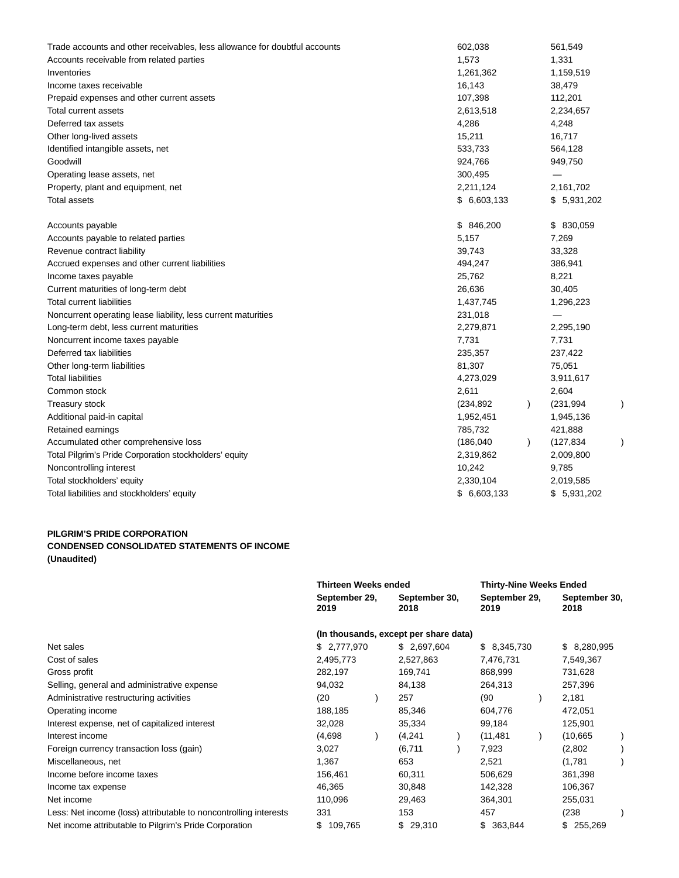| Trade accounts and other receivables, less allowance for doubtful accounts | 602,038     |           | 561,549     |  |
|----------------------------------------------------------------------------|-------------|-----------|-------------|--|
| Accounts receivable from related parties                                   | 1,573       |           | 1,331       |  |
| Inventories                                                                | 1,261,362   |           | 1,159,519   |  |
| Income taxes receivable                                                    | 16,143      |           | 38,479      |  |
| Prepaid expenses and other current assets                                  | 107,398     |           | 112,201     |  |
| Total current assets                                                       | 2,613,518   |           | 2,234,657   |  |
| Deferred tax assets                                                        | 4,286       |           | 4,248       |  |
| Other long-lived assets                                                    | 15,211      |           | 16,717      |  |
| Identified intangible assets, net                                          | 533,733     |           | 564,128     |  |
| Goodwill                                                                   | 924,766     |           | 949,750     |  |
| Operating lease assets, net                                                | 300,495     |           | —           |  |
| Property, plant and equipment, net                                         | 2,211,124   |           | 2,161,702   |  |
| Total assets                                                               | \$6,603,133 |           | \$5,931,202 |  |
| Accounts payable                                                           | \$846,200   |           | \$ 830,059  |  |
| Accounts payable to related parties                                        | 5,157       |           | 7,269       |  |
| Revenue contract liability                                                 | 39,743      |           | 33,328      |  |
| Accrued expenses and other current liabilities                             | 494,247     |           | 386,941     |  |
| Income taxes payable                                                       | 25,762      |           | 8,221       |  |
| Current maturities of long-term debt                                       | 26,636      |           | 30,405      |  |
| <b>Total current liabilities</b>                                           | 1,437,745   |           | 1,296,223   |  |
| Noncurrent operating lease liability, less current maturities              | 231,018     |           |             |  |
| Long-term debt, less current maturities                                    | 2,279,871   |           | 2,295,190   |  |
| Noncurrent income taxes payable                                            | 7,731       |           | 7,731       |  |
| Deferred tax liabilities                                                   | 235,357     |           | 237,422     |  |
| Other long-term liabilities                                                | 81,307      |           | 75,051      |  |
| <b>Total liabilities</b>                                                   | 4,273,029   |           | 3,911,617   |  |
| Common stock                                                               | 2,611       |           | 2,604       |  |
| <b>Treasury stock</b>                                                      | (234, 892)  | $\lambda$ | (231, 994)  |  |
| Additional paid-in capital                                                 | 1,952,451   |           | 1,945,136   |  |
| Retained earnings                                                          | 785,732     |           | 421,888     |  |
| Accumulated other comprehensive loss                                       | (186, 040)  | $\lambda$ | (127, 834)  |  |
| Total Pilgrim's Pride Corporation stockholders' equity                     | 2,319,862   |           | 2,009,800   |  |
| Noncontrolling interest                                                    | 10,242      |           | 9,785       |  |
| Total stockholders' equity                                                 | 2,330,104   |           | 2,019,585   |  |
| Total liabilities and stockholders' equity                                 | \$6,603,133 |           | \$5,931,202 |  |
|                                                                            |             |           |             |  |

## **PILGRIM'S PRIDE CORPORATION CONDENSED CONSOLIDATED STATEMENTS OF INCOME (Unaudited)**

|                                                                  | <b>Thirteen Weeks ended</b> |                                       |                       | <b>Thirty-Nine Weeks Ended</b> |                       |  |
|------------------------------------------------------------------|-----------------------------|---------------------------------------|-----------------------|--------------------------------|-----------------------|--|
|                                                                  | September 29,<br>2019       | September 30,<br>2018                 | September 29,<br>2019 |                                | September 30,<br>2018 |  |
|                                                                  |                             | (In thousands, except per share data) |                       |                                |                       |  |
| Net sales                                                        | \$2,777,970                 | \$ 2,697,604                          | \$8,345,730           |                                | \$ 8,280,995          |  |
| Cost of sales                                                    | 2,495,773                   | 2,527,863                             | 7,476,731             |                                | 7,549,367             |  |
| Gross profit                                                     | 282,197                     | 169,741                               | 868,999               |                                | 731,628               |  |
| Selling, general and administrative expense                      | 94,032                      | 84,138                                | 264,313               |                                | 257,396               |  |
| Administrative restructuring activities                          | (20)                        | 257                                   | (90)                  |                                | 2,181                 |  |
| Operating income                                                 | 188,185                     | 85,346                                | 604,776               |                                | 472,051               |  |
| Interest expense, net of capitalized interest                    | 32,028                      | 35,334                                | 99,184                |                                | 125,901               |  |
| Interest income                                                  | (4,698)                     | (4,241)                               | (11, 481)             |                                | (10, 665)             |  |
| Foreign currency transaction loss (gain)                         | 3,027                       | (6,711)                               | 7,923                 |                                | (2,802)               |  |
| Miscellaneous, net                                               | 1,367                       | 653                                   | 2,521                 |                                | (1,781)               |  |
| Income before income taxes                                       | 156,461                     | 60,311                                | 506,629               |                                | 361,398               |  |
| Income tax expense                                               | 46,365                      | 30,848                                | 142,328               |                                | 106,367               |  |
| Net income                                                       | 110,096                     | 29,463                                | 364,301               |                                | 255,031               |  |
| Less: Net income (loss) attributable to noncontrolling interests | 331                         | 153                                   | 457                   |                                | (238)                 |  |
| Net income attributable to Pilgrim's Pride Corporation           | \$<br>109,765               | \$29,310                              | \$363,844             |                                | \$255,269             |  |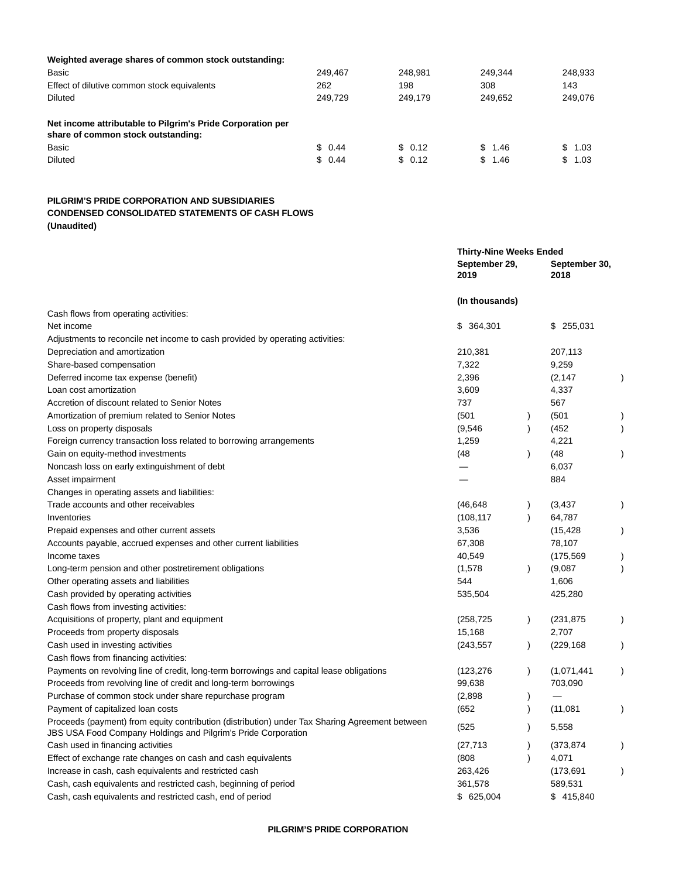| Weighted average shares of common stock outstanding:                                             |         |         |         |         |
|--------------------------------------------------------------------------------------------------|---------|---------|---------|---------|
| Basic                                                                                            | 249.467 | 248.981 | 249.344 | 248,933 |
| Effect of dilutive common stock equivalents                                                      | 262     | 198     | 308     | 143     |
| Diluted                                                                                          | 249.729 | 249.179 | 249.652 | 249.076 |
| Net income attributable to Pilgrim's Pride Corporation per<br>share of common stock outstanding: |         |         |         |         |
| Basic                                                                                            | \$0.44  | \$0.12  | \$1.46  | \$1.03  |
| <b>Diluted</b>                                                                                   | \$0.44  | \$ 0.12 | \$1.46  | \$1.03  |
|                                                                                                  |         |         |         |         |

## **PILGRIM'S PRIDE CORPORATION AND SUBSIDIARIES CONDENSED CONSOLIDATED STATEMENTS OF CASH FLOWS (Unaudited)**

|                                                                                                                                                                        | <b>Thirty-Nine Weeks Ended</b> |               |                       |           |
|------------------------------------------------------------------------------------------------------------------------------------------------------------------------|--------------------------------|---------------|-----------------------|-----------|
|                                                                                                                                                                        | September 29,<br>2019          |               | September 30,<br>2018 |           |
|                                                                                                                                                                        | (In thousands)                 |               |                       |           |
| Cash flows from operating activities:                                                                                                                                  |                                |               |                       |           |
| Net income                                                                                                                                                             | \$364,301                      |               | \$255,031             |           |
| Adjustments to reconcile net income to cash provided by operating activities:                                                                                          |                                |               |                       |           |
| Depreciation and amortization                                                                                                                                          | 210,381                        |               | 207,113               |           |
| Share-based compensation                                                                                                                                               | 7,322                          |               | 9,259                 |           |
| Deferred income tax expense (benefit)                                                                                                                                  | 2,396                          |               | (2, 147)              |           |
| Loan cost amortization                                                                                                                                                 | 3,609                          |               | 4,337                 |           |
| Accretion of discount related to Senior Notes                                                                                                                          | 737                            |               | 567                   |           |
| Amortization of premium related to Senior Notes                                                                                                                        | (501)                          | $\lambda$     | (501)                 |           |
| Loss on property disposals                                                                                                                                             | (9,546)                        | $\lambda$     | (452)                 |           |
| Foreign currency transaction loss related to borrowing arrangements                                                                                                    | 1,259                          |               | 4,221                 |           |
| Gain on equity-method investments                                                                                                                                      | (48                            | $\lambda$     | (48                   |           |
| Noncash loss on early extinguishment of debt                                                                                                                           |                                |               | 6,037                 |           |
| Asset impairment                                                                                                                                                       |                                |               | 884                   |           |
| Changes in operating assets and liabilities:                                                                                                                           |                                |               |                       |           |
| Trade accounts and other receivables                                                                                                                                   | (46, 648)                      | $\lambda$     | (3, 437)              |           |
| Inventories                                                                                                                                                            | (108, 117)                     | $\lambda$     | 64,787                |           |
| Prepaid expenses and other current assets                                                                                                                              | 3,536                          |               | (15, 428)             |           |
| Accounts payable, accrued expenses and other current liabilities                                                                                                       | 67,308                         |               | 78,107                |           |
| Income taxes                                                                                                                                                           | 40,549                         |               | (175, 569)            |           |
| Long-term pension and other postretirement obligations                                                                                                                 | (1,578)                        | $\lambda$     | (9,087)               | $\lambda$ |
| Other operating assets and liabilities                                                                                                                                 | 544                            |               | 1,606                 |           |
| Cash provided by operating activities                                                                                                                                  | 535,504                        |               | 425,280               |           |
| Cash flows from investing activities:                                                                                                                                  |                                |               |                       |           |
| Acquisitions of property, plant and equipment                                                                                                                          | (258, 725)                     | $\mathcal{E}$ | (231, 875)            |           |
| Proceeds from property disposals                                                                                                                                       | 15,168                         |               | 2,707                 |           |
| Cash used in investing activities                                                                                                                                      | (243, 557)                     | $\lambda$     | (229, 168)            |           |
| Cash flows from financing activities:                                                                                                                                  |                                |               |                       |           |
| Payments on revolving line of credit, long-term borrowings and capital lease obligations                                                                               | (123, 276)                     | $\lambda$     | (1,071,441)           |           |
| Proceeds from revolving line of credit and long-term borrowings                                                                                                        | 99,638                         |               | 703,090               |           |
| Purchase of common stock under share repurchase program                                                                                                                | (2,898)                        |               |                       |           |
| Payment of capitalized loan costs                                                                                                                                      | (652)                          |               | (11,081)              |           |
| Proceeds (payment) from equity contribution (distribution) under Tax Sharing Agreement between<br><b>JBS USA Food Company Holdings and Pilgrim's Pride Corporation</b> | (525)                          |               | 5,558                 |           |
| Cash used in financing activities                                                                                                                                      | (27, 713)                      |               | (373, 874)            |           |
| Effect of exchange rate changes on cash and cash equivalents                                                                                                           | (808)                          | $\lambda$     | 4,071                 |           |
| Increase in cash, cash equivalents and restricted cash                                                                                                                 | 263,426                        |               | (173, 691)            |           |
| Cash, cash equivalents and restricted cash, beginning of period                                                                                                        | 361,578                        |               | 589,531               |           |
| Cash, cash equivalents and restricted cash, end of period                                                                                                              | \$625,004                      |               | \$415,840             |           |
|                                                                                                                                                                        |                                |               |                       |           |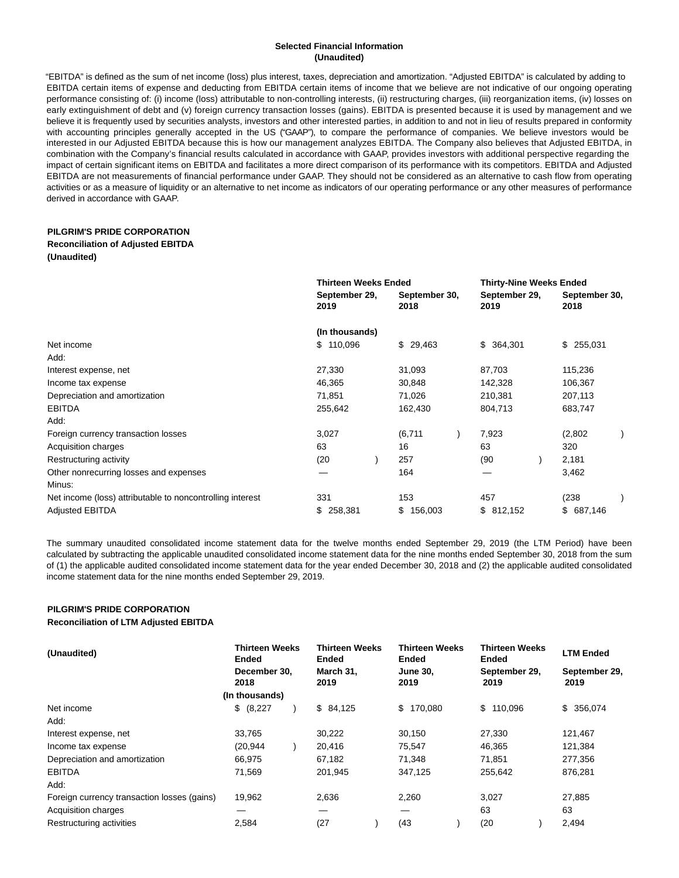#### **Selected Financial Information (Unaudited)**

"EBITDA" is defined as the sum of net income (loss) plus interest, taxes, depreciation and amortization. "Adjusted EBITDA" is calculated by adding to EBITDA certain items of expense and deducting from EBITDA certain items of income that we believe are not indicative of our ongoing operating performance consisting of: (i) income (loss) attributable to non-controlling interests, (ii) restructuring charges, (iii) reorganization items, (iv) losses on early extinguishment of debt and (v) foreign currency transaction losses (gains). EBITDA is presented because it is used by management and we believe it is frequently used by securities analysts, investors and other interested parties, in addition to and not in lieu of results prepared in conformity with accounting principles generally accepted in the US ("GAAP"), to compare the performance of companies. We believe investors would be interested in our Adjusted EBITDA because this is how our management analyzes EBITDA. The Company also believes that Adjusted EBITDA, in combination with the Company's financial results calculated in accordance with GAAP, provides investors with additional perspective regarding the impact of certain significant items on EBITDA and facilitates a more direct comparison of its performance with its competitors. EBITDA and Adjusted EBITDA are not measurements of financial performance under GAAP. They should not be considered as an alternative to cash flow from operating activities or as a measure of liquidity or an alternative to net income as indicators of our operating performance or any other measures of performance derived in accordance with GAAP.

### **PILGRIM'S PRIDE CORPORATION**

#### **Reconciliation of Adjusted EBITDA**

**(Unaudited)**

|                                                           | <b>Thirteen Weeks Ended</b> |                       | <b>Thirty-Nine Weeks Ended</b> |                       |
|-----------------------------------------------------------|-----------------------------|-----------------------|--------------------------------|-----------------------|
|                                                           | September 29,<br>2019       | September 30,<br>2018 | September 29,<br>2019          | September 30,<br>2018 |
|                                                           | (In thousands)              |                       |                                |                       |
| Net income                                                | \$110,096                   | \$29,463              | \$364,301                      | \$255,031             |
| Add:                                                      |                             |                       |                                |                       |
| Interest expense, net                                     | 27,330                      | 31,093                | 87,703                         | 115,236               |
| Income tax expense                                        | 46,365                      | 30,848                | 142,328                        | 106,367               |
| Depreciation and amortization                             | 71,851                      | 71,026                | 210,381                        | 207,113               |
| <b>EBITDA</b>                                             | 255,642                     | 162,430               | 804,713                        | 683,747               |
| Add:                                                      |                             |                       |                                |                       |
| Foreign currency transaction losses                       | 3,027                       | (6,711)               | 7,923                          | (2,802)               |
| Acquisition charges                                       | 63                          | 16                    | 63                             | 320                   |
| Restructuring activity                                    | (20)                        | 257                   | (90)                           | 2,181                 |
| Other nonrecurring losses and expenses                    |                             | 164                   |                                | 3,462                 |
| Minus:                                                    |                             |                       |                                |                       |
| Net income (loss) attributable to noncontrolling interest | 331                         | 153                   | 457                            | (238)                 |
| <b>Adjusted EBITDA</b>                                    | 258,381<br>\$               | 156,003<br>\$         | \$812,152                      | \$687,146             |

The summary unaudited consolidated income statement data for the twelve months ended September 29, 2019 (the LTM Period) have been calculated by subtracting the applicable unaudited consolidated income statement data for the nine months ended September 30, 2018 from the sum of (1) the applicable audited consolidated income statement data for the year ended December 30, 2018 and (2) the applicable audited consolidated income statement data for the nine months ended September 29, 2019.

### **PILGRIM'S PRIDE CORPORATION Reconciliation of LTM Adjusted EBITDA**

| (Unaudited)                                 | <b>Thirteen Weeks</b><br>Ended | <b>Thirteen Weeks</b><br><b>Ended</b> | Thirteen Weeks<br><b>Ended</b> | <b>Thirteen Weeks</b><br>Ended | <b>LTM Ended</b>      |  |
|---------------------------------------------|--------------------------------|---------------------------------------|--------------------------------|--------------------------------|-----------------------|--|
|                                             | December 30.<br>2018           | March 31,<br>2019                     | <b>June 30,</b><br>2019        | September 29,<br>2019          | September 29,<br>2019 |  |
|                                             | (In thousands)                 |                                       |                                |                                |                       |  |
| Net income                                  | \$ (8,227)                     | \$84,125                              | \$170,080                      | \$110.096                      | \$ 356,074            |  |
| Add:                                        |                                |                                       |                                |                                |                       |  |
| Interest expense, net                       | 33,765                         | 30,222                                | 30,150                         | 27,330                         | 121,467               |  |
| Income tax expense                          | (20, 944)                      | 20,416                                | 75,547                         | 46,365                         | 121,384               |  |
| Depreciation and amortization               | 66.975                         | 67,182                                | 71.348                         | 71.851                         | 277,356               |  |
| <b>EBITDA</b>                               | 71,569                         | 201.945                               | 347,125                        | 255,642                        | 876.281               |  |
| Add:                                        |                                |                                       |                                |                                |                       |  |
| Foreign currency transaction losses (gains) | 19,962                         | 2,636                                 | 2,260                          | 3.027                          | 27,885                |  |
| Acquisition charges                         |                                | –                                     | –                              | 63                             | 63                    |  |
| Restructuring activities                    | 2.584                          | (27)                                  | (43)                           | (20)                           | 2,494                 |  |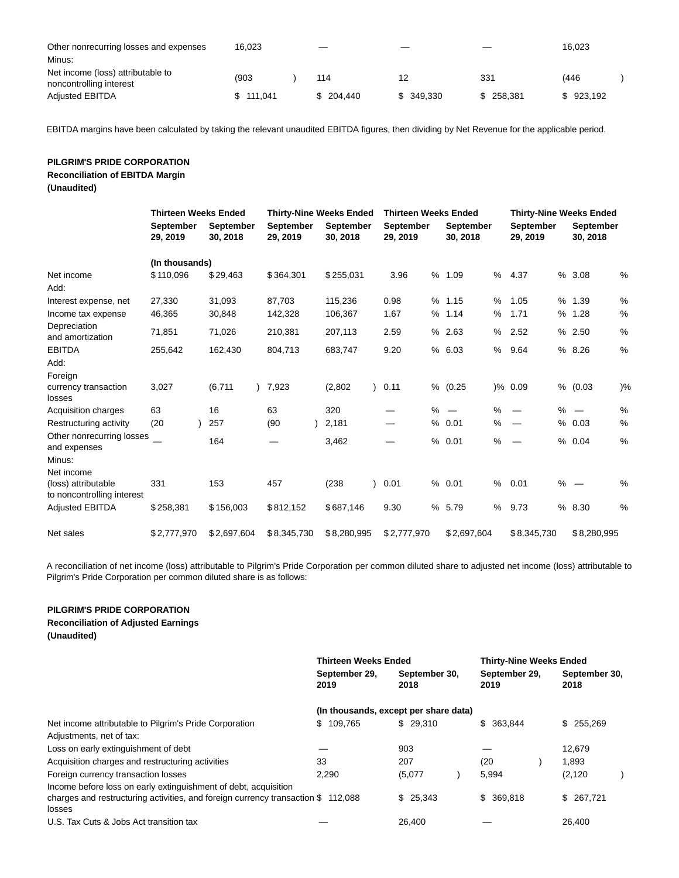| Other nonrecurring losses and expenses<br>16.023                                                             | _                | __              |                | 16.023            |  |
|--------------------------------------------------------------------------------------------------------------|------------------|-----------------|----------------|-------------------|--|
| Minus:                                                                                                       |                  |                 |                |                   |  |
| Net income (loss) attributable to<br>(903)<br>noncontrolling interest<br>\$111.041<br><b>Adjusted EBITDA</b> | 114<br>\$204.440 | 12<br>\$349.330 | 331<br>258.381 | (446<br>\$923.192 |  |

EBITDA margins have been calculated by taking the relevant unaudited EBITDA figures, then dividing by Net Revenue for the applicable period.

## **PILGRIM'S PRIDE CORPORATION Reconciliation of EBITDA Margin (Unaudited)**

|                                                      | <b>Thirteen Weeks Ended</b><br><b>Thirty-Nine Weeks Ended</b> |                       |                              | <b>Thirteen Weeks Ended</b> | <b>Thirty-Nine Weeks Ended</b> |                              |                              |                           |
|------------------------------------------------------|---------------------------------------------------------------|-----------------------|------------------------------|-----------------------------|--------------------------------|------------------------------|------------------------------|---------------------------|
|                                                      | <b>September</b><br>29, 2019                                  | September<br>30, 2018 | <b>September</b><br>29, 2019 | September<br>30, 2018       | <b>September</b><br>29, 2019   | <b>September</b><br>30, 2018 | <b>September</b><br>29, 2019 | September<br>30, 2018     |
|                                                      | (In thousands)                                                |                       |                              |                             |                                |                              |                              |                           |
| Net income<br>Add:                                   | \$110,096                                                     | \$29,463              | \$364,301                    | \$255,031                   | 3.96                           | %<br>1.09<br>%               | 4.37                         | %<br>%3.08                |
| Interest expense, net                                | 27,330                                                        | 31,093                | 87,703                       | 115,236                     | 0.98                           | % 1.15<br>%                  | 1.05                         | %<br>%1.39                |
| Income tax expense                                   | 46,365                                                        | 30,848                | 142,328                      | 106,367                     | 1.67                           | % 1.14<br>%                  | 1.71                         | $\%$<br>% 1.28            |
| Depreciation<br>and amortization                     | 71,851                                                        | 71,026                | 210,381                      | 207,113                     | 2.59                           | % 2.63<br>%                  | 2.52                         | $\%$<br>% 2.50            |
| <b>EBITDA</b>                                        | 255,642                                                       | 162,430               | 804,713                      | 683,747                     | 9.20                           | % 6.03<br>%                  | 9.64                         | %<br>% 8.26               |
| Add:                                                 |                                                               |                       |                              |                             |                                |                              |                              |                           |
| Foreign                                              |                                                               |                       |                              |                             |                                |                              |                              |                           |
| currency transaction<br>losses                       | 3,027                                                         | (6,711)               | 7,923                        | (2,802)                     | 0.11                           | %<br>(0.25)                  | $) \% 0.09$                  | % (0.03)<br>$\frac{9}{6}$ |
| Acquisition charges                                  | 63                                                            | 16                    | 63                           | 320                         |                                | $% -$<br>%                   |                              | %<br>$% =$                |
| Restructuring activity                               | (20)                                                          | 257                   | (90)                         | 2,181                       |                                | % 0.01<br>%                  | %                            | %<br>0.03                 |
| Other nonrecurring losses<br>and expenses            |                                                               | 164                   |                              | 3,462                       |                                | %<br>%<br>0.01               | $\overline{\phantom{0}}$     | %<br>% 0.04               |
| Minus:                                               |                                                               |                       |                              |                             |                                |                              |                              |                           |
| Net income<br>(loss) attributable                    | 331                                                           | 153                   | 457                          | (238)                       | 0.01                           | % 0.01<br>%                  | 0.01                         | $\%$<br>$% -$             |
| to noncontrolling interest<br><b>Adjusted EBITDA</b> | \$258,381                                                     | \$156,003             | \$812,152                    | \$687,146                   | 9.30                           | % 5.79<br>%                  | 9.73                         | %<br>% 8.30               |
| Net sales                                            | \$2,777,970                                                   | \$2,697,604           | \$8,345,730                  | \$8,280,995                 | \$2,777,970                    | \$2,697,604                  | \$8,345,730                  | \$8,280,995               |

A reconciliation of net income (loss) attributable to Pilgrim's Pride Corporation per common diluted share to adjusted net income (loss) attributable to Pilgrim's Pride Corporation per common diluted share is as follows:

## **PILGRIM'S PRIDE CORPORATION**

**Reconciliation of Adjusted Earnings**

**(Unaudited)**

|                                                                                              | <b>Thirteen Weeks Ended</b> |                                       | <b>Thirty-Nine Weeks Ended</b> |                       |
|----------------------------------------------------------------------------------------------|-----------------------------|---------------------------------------|--------------------------------|-----------------------|
|                                                                                              | September 29,<br>2019       | September 30,<br>2018                 | September 29,<br>2019          | September 30,<br>2018 |
|                                                                                              |                             | (In thousands, except per share data) |                                |                       |
| Net income attributable to Pilgrim's Pride Corporation                                       | \$109,765                   | \$29.310                              | \$ 363,844                     | \$255.269             |
| Adjustments, net of tax:                                                                     |                             |                                       |                                |                       |
| Loss on early extinguishment of debt                                                         |                             | 903                                   |                                | 12,679                |
| Acquisition charges and restructuring activities                                             | 33                          | 207                                   | (20                            | 1.893                 |
| Foreign currency transaction losses                                                          | 2.290                       | (5,077)                               | 5,994                          | (2, 120)              |
| Income before loss on early extinguishment of debt, acquisition                              |                             |                                       |                                |                       |
| charges and restructuring activities, and foreign currency transaction $$$ 112,088<br>losses |                             | \$25.343                              | \$369,818                      | \$267,721             |
| U.S. Tax Cuts & Jobs Act transition tax                                                      |                             | 26.400                                |                                | 26.400                |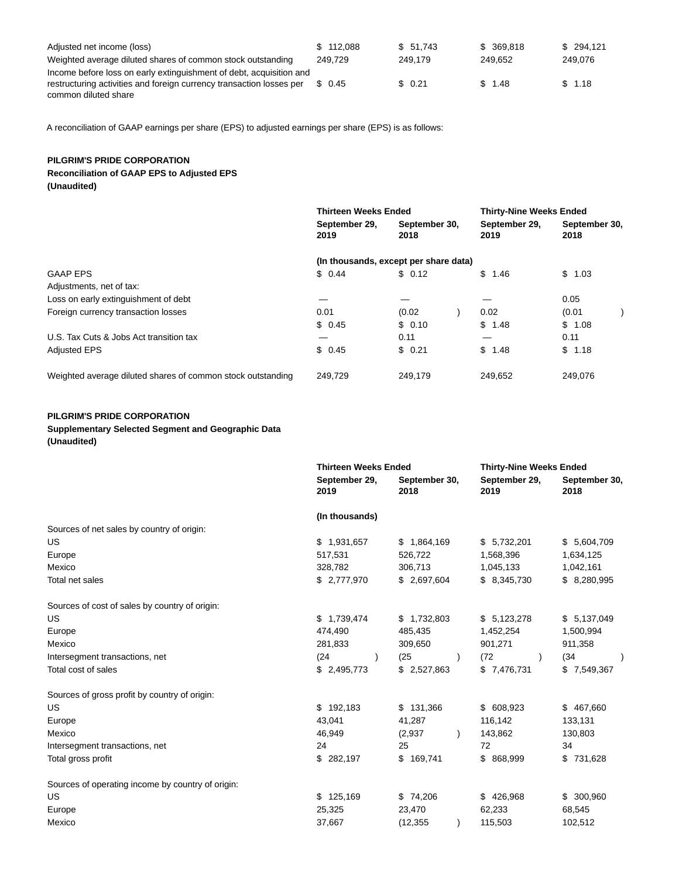| Adjusted net income (loss)                                           | \$112.088 | \$51.743 | \$ 369,818 | \$294.121 |
|----------------------------------------------------------------------|-----------|----------|------------|-----------|
| Weighted average diluted shares of common stock outstanding          | 249.729   | 249.179  | 249.652    | 249.076   |
| Income before loss on early extinguishment of debt, acquisition and  |           |          |            |           |
| restructuring activities and foreign currency transaction losses per | \$ 0.45   | \$0.21   | \$1.48     | \$1.18    |
| common diluted share                                                 |           |          |            |           |

A reconciliation of GAAP earnings per share (EPS) to adjusted earnings per share (EPS) is as follows:

## **PILGRIM'S PRIDE CORPORATION Reconciliation of GAAP EPS to Adjusted EPS (Unaudited)**

|                                                             | <b>Thirteen Weeks Ended</b> |                                       | <b>Thirty-Nine Weeks Ended</b> |                       |
|-------------------------------------------------------------|-----------------------------|---------------------------------------|--------------------------------|-----------------------|
|                                                             | September 29,<br>2019       | September 30,<br>2018                 | September 29,<br>2019          | September 30,<br>2018 |
|                                                             |                             | (In thousands, except per share data) |                                |                       |
| <b>GAAP EPS</b>                                             | \$0.44                      | \$0.12                                | \$1.46                         | \$1.03                |
| Adjustments, net of tax:                                    |                             |                                       |                                |                       |
| Loss on early extinguishment of debt                        |                             |                                       |                                | 0.05                  |
| Foreign currency transaction losses                         | 0.01                        | (0.02)                                | 0.02                           | (0.01)                |
|                                                             | \$0.45                      | \$0.10                                | \$1.48                         | \$1.08                |
| U.S. Tax Cuts & Jobs Act transition tax                     |                             | 0.11                                  | –                              | 0.11                  |
| <b>Adjusted EPS</b>                                         | \$0.45                      | \$0.21                                | \$1.48                         | \$1.18                |
| Weighted average diluted shares of common stock outstanding | 249.729                     | 249.179                               | 249.652                        | 249.076               |

## **PILGRIM'S PRIDE CORPORATION**

#### **Supplementary Selected Segment and Geographic Data (Unaudited)**

|  | (Unauulteu) |  |
|--|-------------|--|
|  |             |  |

|                                                   | <b>Thirteen Weeks Ended</b> |                       | <b>Thirty-Nine Weeks Ended</b> |                       |
|---------------------------------------------------|-----------------------------|-----------------------|--------------------------------|-----------------------|
|                                                   | September 29,<br>2019       | September 30,<br>2018 | September 29,<br>2019          | September 30,<br>2018 |
|                                                   | (In thousands)              |                       |                                |                       |
| Sources of net sales by country of origin:        |                             |                       |                                |                       |
| US.                                               | \$1,931,657                 | \$1,864,169           | \$5,732,201                    | \$5,604,709           |
| Europe                                            | 517,531                     | 526,722               | 1,568,396                      | 1,634,125             |
| Mexico                                            | 328,782                     | 306,713               | 1,045,133                      | 1,042,161             |
| Total net sales                                   | \$ 2,777,970                | \$2,697,604           | \$8,345,730                    | \$ 8,280,995          |
| Sources of cost of sales by country of origin:    |                             |                       |                                |                       |
| US                                                | \$1,739,474                 | \$1,732,803           | \$5,123,278                    | \$5,137,049           |
| Europe                                            | 474,490                     | 485,435               | 1,452,254                      | 1,500,994             |
| Mexico                                            | 281,833                     | 309,650               | 901,271                        | 911,358               |
| Intersegment transactions, net                    | (24)<br>$\lambda$           | (25)                  | (72)                           | (34)<br>$\lambda$     |
| Total cost of sales                               | \$2,495,773                 | \$2,527,863           | \$7,476,731                    | \$7,549,367           |
| Sources of gross profit by country of origin:     |                             |                       |                                |                       |
| US                                                | \$192,183                   | \$131,366             | \$ 608,923                     | \$467,660             |
| Europe                                            | 43,041                      | 41,287                | 116,142                        | 133,131               |
| Mexico                                            | 46,949                      | (2,937)               | 143,862                        | 130,803               |
| Intersegment transactions, net                    | 24                          | 25                    | 72                             | 34                    |
| Total gross profit                                | \$282,197                   | \$169,741             | \$ 868,999                     | \$731,628             |
| Sources of operating income by country of origin: |                             |                       |                                |                       |
| US                                                | \$125,169                   | \$74,206              | \$426,968                      | \$ 300,960            |
| Europe                                            | 25,325                      | 23,470                | 62,233                         | 68,545                |
| Mexico                                            | 37,667                      | (12, 355)             | 115,503                        | 102,512               |